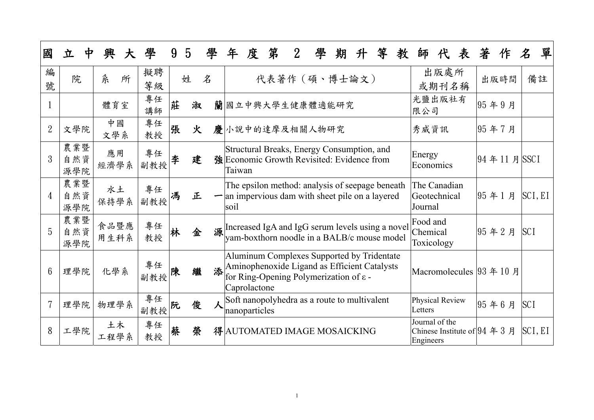| 國              | 立<br>中            | 興<br>大       | 學            | 9 | $\overline{5}$ | 學 | 年      | 度             | 第              | $2\overline{ }$ | 學 | 期                                                                                                                                                 | 升 | 等 | 教 | 師                                                                  | 代             | 表 | 著 | 作          | $\mathcal{\mathcal{Z}}$ | 單       |
|----------------|-------------------|--------------|--------------|---|----------------|---|--------|---------------|----------------|-----------------|---|---------------------------------------------------------------------------------------------------------------------------------------------------|---|---|---|--------------------------------------------------------------------|---------------|---|---|------------|-------------------------|---------|
| 編<br>號         | 院                 | 糸<br>所       | 擬聘<br>等級     |   | 姓              | 名 |        |               |                |                 |   | 代表著作 (碩、博士論文)                                                                                                                                     |   |   |   |                                                                    | 出版處所<br>或期刊名稱 |   |   | 出版時間       |                         | 備註      |
|                |                   | 體育室          | 專任<br>講師     | 莊 | 淑              |   |        |               |                |                 |   | 蘭國立中興大學生健康體適能研究                                                                                                                                   |   |   |   | 光鹽出版社有<br>限公司                                                      |               |   |   | 95年9月      |                         |         |
| $\overline{2}$ | 文學院               | 中國<br>文學系    | 專任<br>教授     | 張 | 火              |   |        |               | 慶小說中的達摩及相關人物研究 |                 |   |                                                                                                                                                   |   |   |   | 秀威資訊                                                               |               |   |   | 95年7月      |                         |         |
| 3              | 農業暨<br>自然資<br>源學院 | 應用<br>經濟學系   | 專任<br>副教授    | 李 | 建              |   | Taiwan |               |                |                 |   | Structural Breaks, Energy Consumption, and<br>強Economic Growth Revisited: Evidence from                                                           |   |   |   | Energy<br>Economics                                                |               |   |   | 94年11月SSCI |                         |         |
| $\overline{4}$ | 農業暨<br>自然資<br>源學院 | 水土<br>保持學系   | 專任<br>副教授    | 馮 | 正              |   | soil   |               |                |                 |   | The epsilon method: analysis of seepage beneath<br>$\blacksquare$ an impervious dam with sheet pile on a layered                                  |   |   |   | The Canadian<br>Geotechnical<br>Journal                            |               |   |   | 95年1月      |                         | SCI, EI |
| 5              | 農業暨<br>自然資<br>源學院 | 食品暨應<br>用生科系 | 專任<br>教授     | 林 | 金              |   |        |               |                |                 |   | 源 Increased IgA and IgG serum levels using a novel<br>yam-boxthorn noodle in a BALB/c mouse model                                                 |   |   |   | Food and<br>Chemical<br>Toxicology                                 |               |   |   | 95年2月      | <b>SCI</b>              |         |
| $6\phantom{1}$ | 理學院               | 化學系          | 專任<br>副教授    | 陳 | 繼              |   |        | Caprolactone  |                |                 |   | Aluminum Complexes Supported by Tridentate<br>添Aminophenoxide Ligand as Efficient Catalysts<br>for Ring-Opening Polymerization of $\varepsilon$ - |   |   |   | Macromolecules $ 93 \n4 10 \n5$                                    |               |   |   |            |                         |         |
|                | 理學院               | 物理學系         | 專任<br> 副教授 阮 |   | 俊              |   |        | nanoparticles |                |                 |   | Soft nanopolyhedra as a route to multivalent                                                                                                      |   |   |   | Physical Review<br>Letters                                         |               |   |   | 95年6月      | <b>SCI</b>              |         |
| 8              | 工學院               | 土木<br>工程學系   | 專任<br>教授     | 蔡 | 榮              |   |        |               |                |                 |   | 得 AUTOMATED IMAGE MOSAICKING                                                                                                                      |   |   |   | Journal of the<br>Chinese Institute of $94 \n4 3 \n5$<br>Engineers |               |   |   |            |                         | SCI, EI |